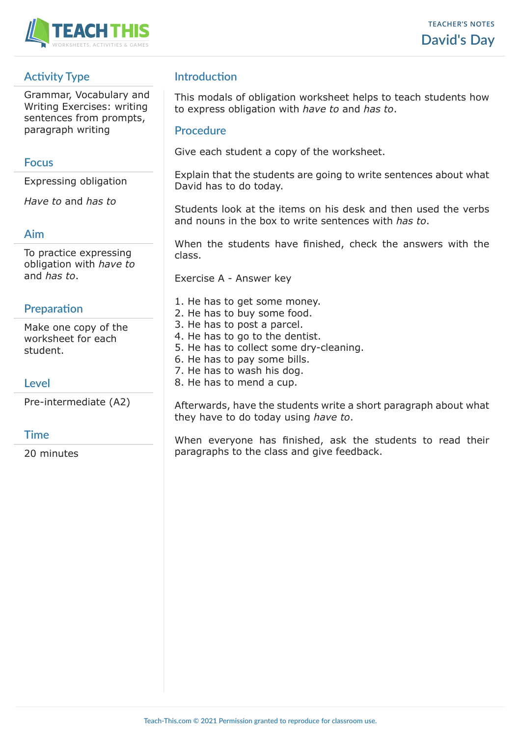

# **Activity Type**

Grammar, Vocabulary and Writing Exercises: writing sentences from prompts, paragraph writing

## **Focus**

Expressing obligation

*Have to* and *has to*

### **Aim**

To practice expressing obligation with *have to* and *has to*.

## **Preparation**

Make one copy of the worksheet for each student.

## **Level**

Pre-intermediate (A2)

### **Time**

20 minutes

# **Introduction**

This modals of obligation worksheet helps to teach students how to express obligation with *have to* and *has to*.

#### **Procedure**

Give each student a copy of the worksheet.

Explain that the students are going to write sentences about what David has to do today.

Students look at the items on his desk and then used the verbs and nouns in the box to write sentences with *has to*.

When the students have finished, check the answers with the class.

Exercise A - Answer key

- 1. He has to get some money.
- 2. He has to buy some food.
- 3. He has to post a parcel.
- 4. He has to go to the dentist.
- 5. He has to collect some dry-cleaning.
- 6. He has to pay some bills.
- 7. He has to wash his dog.
- 8. He has to mend a cup.

Afterwards, have the students write a short paragraph about what they have to do today using *have to*.

When everyone has finished, ask the students to read their paragraphs to the class and give feedback.